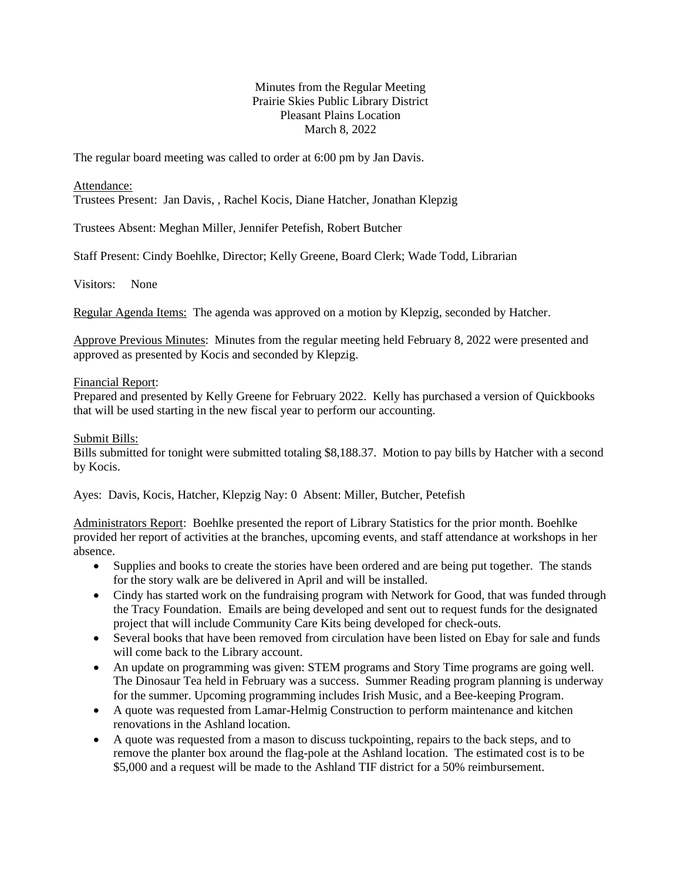## Minutes from the Regular Meeting Prairie Skies Public Library District Pleasant Plains Location March 8, 2022

The regular board meeting was called to order at 6:00 pm by Jan Davis.

Attendance:

Trustees Present: Jan Davis, , Rachel Kocis, Diane Hatcher, Jonathan Klepzig

Trustees Absent: Meghan Miller, Jennifer Petefish, Robert Butcher

Staff Present: Cindy Boehlke, Director; Kelly Greene, Board Clerk; Wade Todd, Librarian

Visitors: None

Regular Agenda Items: The agenda was approved on a motion by Klepzig, seconded by Hatcher.

Approve Previous Minutes: Minutes from the regular meeting held February 8, 2022 were presented and approved as presented by Kocis and seconded by Klepzig.

## Financial Report:

Prepared and presented by Kelly Greene for February 2022. Kelly has purchased a version of Quickbooks that will be used starting in the new fiscal year to perform our accounting.

## Submit Bills:

Bills submitted for tonight were submitted totaling \$8,188.37. Motion to pay bills by Hatcher with a second by Kocis.

Ayes: Davis, Kocis, Hatcher, Klepzig Nay: 0 Absent: Miller, Butcher, Petefish

Administrators Report: Boehlke presented the report of Library Statistics for the prior month. Boehlke provided her report of activities at the branches, upcoming events, and staff attendance at workshops in her absence.

- Supplies and books to create the stories have been ordered and are being put together. The stands for the story walk are be delivered in April and will be installed.
- Cindy has started work on the fundraising program with Network for Good, that was funded through the Tracy Foundation. Emails are being developed and sent out to request funds for the designated project that will include Community Care Kits being developed for check-outs.
- Several books that have been removed from circulation have been listed on Ebay for sale and funds will come back to the Library account.
- An update on programming was given: STEM programs and Story Time programs are going well. The Dinosaur Tea held in February was a success. Summer Reading program planning is underway for the summer. Upcoming programming includes Irish Music, and a Bee-keeping Program.
- A quote was requested from Lamar-Helmig Construction to perform maintenance and kitchen renovations in the Ashland location.
- A quote was requested from a mason to discuss tuckpointing, repairs to the back steps, and to remove the planter box around the flag-pole at the Ashland location. The estimated cost is to be \$5,000 and a request will be made to the Ashland TIF district for a 50% reimbursement.